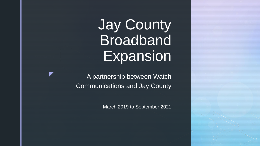# Jay County Broadband **Expansion**

A partnership between Watch Communications and Jay County

z

March 2019 to September 2021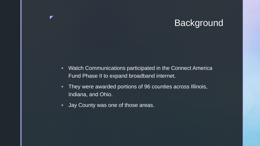### **Background**

- **Watch Communications participated in the Connect America** Fund Phase II to expand broadband internet.
- They were awarded portions of 96 counties across Illinois, Indiana, and Ohio.
- Jay County was one of those areas.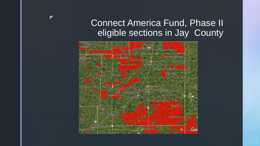## Connect America Fund, Phase II eligible sections in Jay County

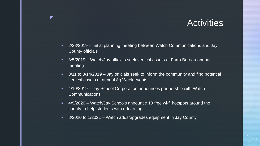### **Activities**

- 2/28/2019 Initial planning meeting between Watch Communications and Jay County officials
- 3/5/2019 Watch/Jay officials seek vertical assets at Farm Bureau annual meeting

- **3/11 to 3/14/2019 Jay officials seek to inform the community and find potential** vertical assets at annual Ag Week events
- 4/10/2019 Jay School Corporation announces partnership with Watch **Communications**
- 4/9/2020 Watch/Jay Schools announce 10 free wi-fi hotspots around the county to help students with e-learning
- 8/2020 to 1/2021 Watch adds/upgrades equipment in Jay County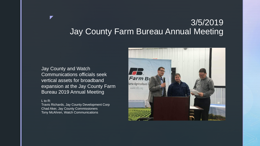### 3/5/2019 Jay County Farm Bureau Annual Meeting

### Jay County and Watch Communications officials seek vertical assets for broadband expansion at the Jay County Farm Bureau 2019 Annual Meeting

#### L to R:

z

Travis Richards, Jay County Development Corp Chad Aker, Jay County Commissioners Tony McAhren, Watch Communications

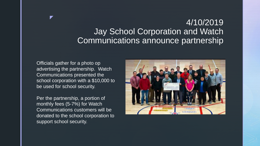### 4/10/2019 Jay School Corporation and Watch Communications announce partnership

Officials gather for a photo op advertising the partnership. Watch Communications presented the school corporation with a \$10,000 to be used for school security.

z

Per the partnership, a portion of monthly fees (5-7%) for Watch Communications customers will be donated to the school corporation to support school security.

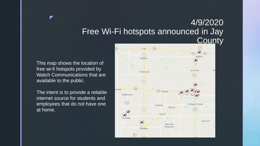### 4/9/2020 Free Wi-Fi hotspots announced in Jay **County**

This map shows the location of free wi-fi hotspots provided by Watch Communications that are available to the public.

z

The intent is to provide a reliable internet source for students and employees that do not have one at home.